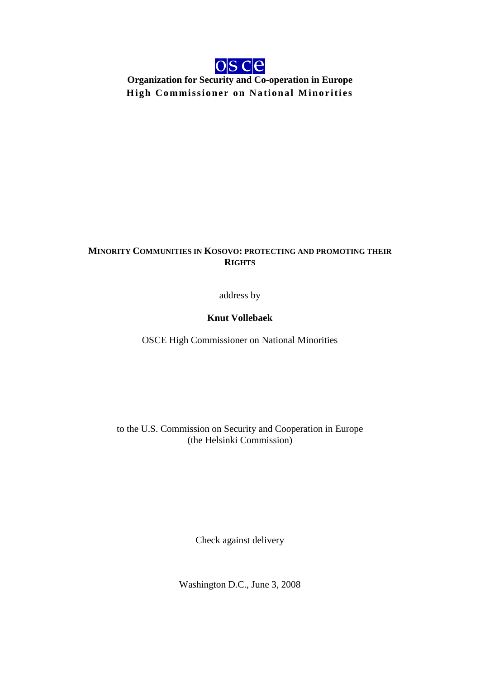

**Organization for Security and Co-operation in Europe High Commissioner on National Minorities**

## **MINORITY COMMUNITIES IN KOSOVO: PROTECTING AND PROMOTING THEIR RIGHTS**

address by

## **Knut Vollebaek**

OSCE High Commissioner on National Minorities

to the U.S. Commission on Security and Cooperation in Europe (the Helsinki Commission)

Check against delivery

Washington D.C., June 3, 2008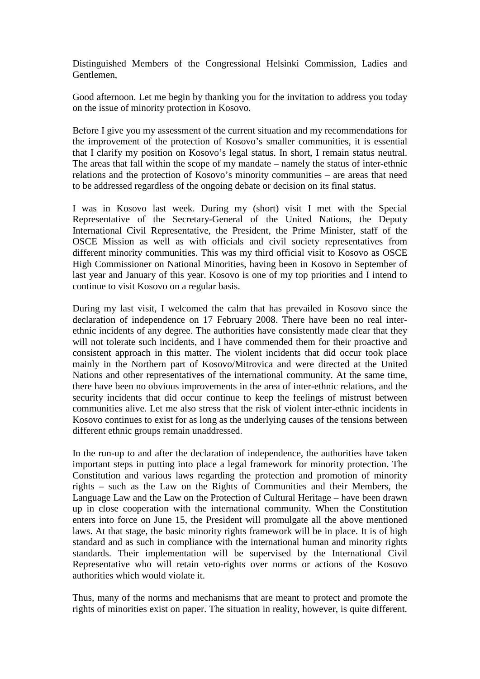Distinguished Members of the Congressional Helsinki Commission, Ladies and Gentlemen,

Good afternoon. Let me begin by thanking you for the invitation to address you today on the issue of minority protection in Kosovo.

Before I give you my assessment of the current situation and my recommendations for the improvement of the protection of Kosovo's smaller communities, it is essential that I clarify my position on Kosovo's legal status. In short, I remain status neutral. The areas that fall within the scope of my mandate – namely the status of inter-ethnic relations and the protection of Kosovo's minority communities – are areas that need to be addressed regardless of the ongoing debate or decision on its final status.

I was in Kosovo last week. During my (short) visit I met with the Special Representative of the Secretary-General of the United Nations, the Deputy International Civil Representative, the President, the Prime Minister, staff of the OSCE Mission as well as with officials and civil society representatives from different minority communities. This was my third official visit to Kosovo as OSCE High Commissioner on National Minorities, having been in Kosovo in September of last year and January of this year. Kosovo is one of my top priorities and I intend to continue to visit Kosovo on a regular basis.

During my last visit, I welcomed the calm that has prevailed in Kosovo since the declaration of independence on 17 February 2008. There have been no real interethnic incidents of any degree. The authorities have consistently made clear that they will not tolerate such incidents, and I have commended them for their proactive and consistent approach in this matter. The violent incidents that did occur took place mainly in the Northern part of Kosovo/Mitrovica and were directed at the United Nations and other representatives of the international community. At the same time, there have been no obvious improvements in the area of inter-ethnic relations, and the security incidents that did occur continue to keep the feelings of mistrust between communities alive. Let me also stress that the risk of violent inter-ethnic incidents in Kosovo continues to exist for as long as the underlying causes of the tensions between different ethnic groups remain unaddressed.

In the run-up to and after the declaration of independence, the authorities have taken important steps in putting into place a legal framework for minority protection. The Constitution and various laws regarding the protection and promotion of minority rights – such as the Law on the Rights of Communities and their Members, the Language Law and the Law on the Protection of Cultural Heritage – have been drawn up in close cooperation with the international community. When the Constitution enters into force on June 15, the President will promulgate all the above mentioned laws. At that stage, the basic minority rights framework will be in place. It is of high standard and as such in compliance with the international human and minority rights standards. Their implementation will be supervised by the International Civil Representative who will retain veto-rights over norms or actions of the Kosovo authorities which would violate it.

Thus, many of the norms and mechanisms that are meant to protect and promote the rights of minorities exist on paper. The situation in reality, however, is quite different.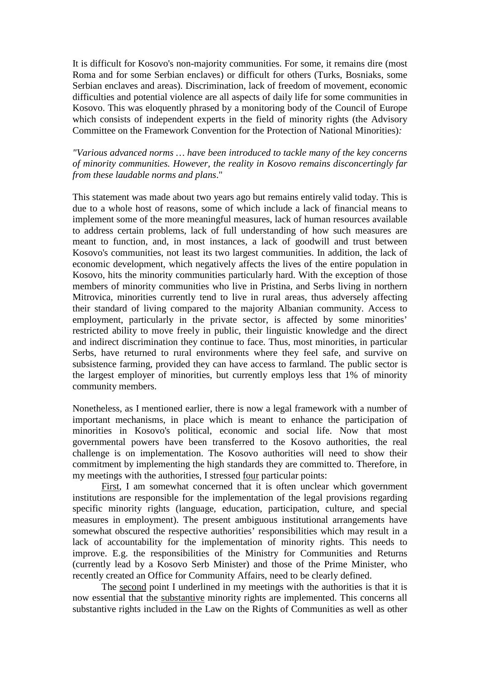It is difficult for Kosovo's non-majority communities. For some, it remains dire (most Roma and for some Serbian enclaves) or difficult for others (Turks, Bosniaks, some Serbian enclaves and areas). Discrimination, lack of freedom of movement, economic difficulties and potential violence are all aspects of daily life for some communities in Kosovo. This was eloquently phrased by a monitoring body of the Council of Europe which consists of independent experts in the field of minority rights (the Advisory Committee on the Framework Convention for the Protection of National Minorities)*:* 

*"Various advanced norms … have been introduced to tackle many of the key concerns of minority communities. However, the reality in Kosovo remains disconcertingly far from these laudable norms and plans*."

This statement was made about two years ago but remains entirely valid today. This is due to a whole host of reasons, some of which include a lack of financial means to implement some of the more meaningful measures, lack of human resources available to address certain problems, lack of full understanding of how such measures are meant to function, and, in most instances, a lack of goodwill and trust between Kosovo's communities, not least its two largest communities. In addition, the lack of economic development, which negatively affects the lives of the entire population in Kosovo, hits the minority communities particularly hard. With the exception of those members of minority communities who live in Pristina, and Serbs living in northern Mitrovica, minorities currently tend to live in rural areas, thus adversely affecting their standard of living compared to the majority Albanian community. Access to employment, particularly in the private sector, is affected by some minorities' restricted ability to move freely in public, their linguistic knowledge and the direct and indirect discrimination they continue to face. Thus, most minorities, in particular Serbs, have returned to rural environments where they feel safe, and survive on subsistence farming, provided they can have access to farmland. The public sector is the largest employer of minorities, but currently employs less that 1% of minority community members.

Nonetheless, as I mentioned earlier, there is now a legal framework with a number of important mechanisms, in place which is meant to enhance the participation of minorities in Kosovo's political, economic and social life. Now that most governmental powers have been transferred to the Kosovo authorities, the real challenge is on implementation. The Kosovo authorities will need to show their commitment by implementing the high standards they are committed to. Therefore, in my meetings with the authorities, I stressed four particular points:

First, I am somewhat concerned that it is often unclear which government institutions are responsible for the implementation of the legal provisions regarding specific minority rights (language, education, participation, culture, and special measures in employment). The present ambiguous institutional arrangements have somewhat obscured the respective authorities' responsibilities which may result in a lack of accountability for the implementation of minority rights. This needs to improve. E.g. the responsibilities of the Ministry for Communities and Returns (currently lead by a Kosovo Serb Minister) and those of the Prime Minister, who recently created an Office for Community Affairs, need to be clearly defined.

The second point I underlined in my meetings with the authorities is that it is now essential that the substantive minority rights are implemented. This concerns all substantive rights included in the Law on the Rights of Communities as well as other